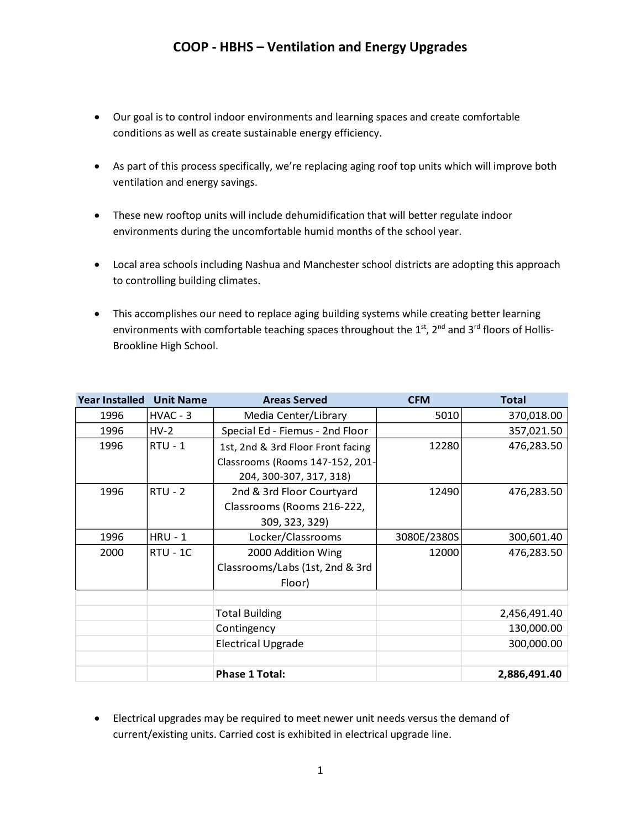- Our goal is to control indoor environments and learning spaces and create comfortable conditions as well as create sustainable energy efficiency.
- As part of this process specifically, we're replacing aging roof top units which will improve both ventilation and energy savings.
- These new rooftop units will include dehumidification that will better regulate indoor environments during the uncomfortable humid months of the school year.
- Local area schools including Nashua and Manchester school districts are adopting this approach to controlling building climates.
- This accomplishes our need to replace aging building systems while creating better learning environments with comfortable teaching spaces throughout the 1st, 2<sup>nd</sup> and 3<sup>rd</sup> floors of Hollis-Brookline High School.

| <b>Year Installed</b> | <b>Unit Name</b> | <b>Areas Served</b>               | <b>CFM</b>  | <b>Total</b> |
|-----------------------|------------------|-----------------------------------|-------------|--------------|
| 1996                  | HVAC - 3         | Media Center/Library              | 5010        | 370,018.00   |
| 1996                  | $HV-2$           | Special Ed - Fiemus - 2nd Floor   |             | 357,021.50   |
| 1996                  | $RTU - 1$        | 1st, 2nd & 3rd Floor Front facing | 12280       | 476,283.50   |
|                       |                  | Classrooms (Rooms 147-152, 201-   |             |              |
|                       |                  | 204, 300-307, 317, 318)           |             |              |
| 1996                  | $RTU - 2$        | 2nd & 3rd Floor Courtyard         | 12490       | 476,283.50   |
|                       |                  | Classrooms (Rooms 216-222,        |             |              |
|                       |                  | 309, 323, 329)                    |             |              |
| 1996                  | $HRU - 1$        | Locker/Classrooms                 | 3080E/2380S | 300,601.40   |
| 2000                  | $RTU - 1C$       | 2000 Addition Wing                | 12000       | 476,283.50   |
|                       |                  | Classrooms/Labs (1st, 2nd & 3rd   |             |              |
|                       |                  | Floor)                            |             |              |
|                       |                  |                                   |             |              |
|                       |                  | <b>Total Building</b>             |             | 2,456,491.40 |
|                       |                  | Contingency                       |             | 130,000.00   |
|                       |                  | <b>Electrical Upgrade</b>         |             | 300,000.00   |
|                       |                  |                                   |             |              |
|                       |                  | <b>Phase 1 Total:</b>             |             | 2,886,491.40 |

 Electrical upgrades may be required to meet newer unit needs versus the demand of current/existing units. Carried cost is exhibited in electrical upgrade line.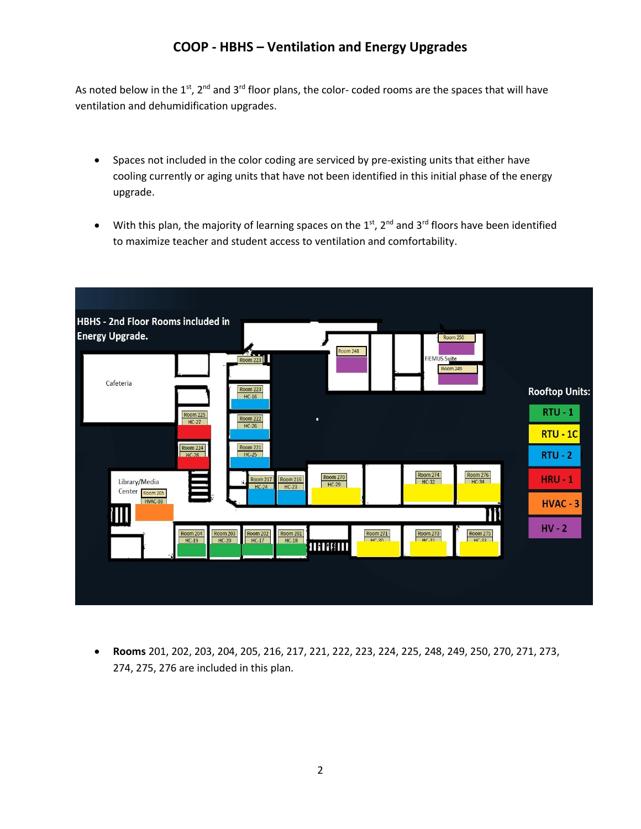As noted below in the 1<sup>st</sup>, 2<sup>nd</sup> and 3<sup>rd</sup> floor plans, the color- coded rooms are the spaces that will have ventilation and dehumidification upgrades.

- Spaces not included in the color coding are serviced by pre-existing units that either have cooling currently or aging units that have not been identified in this initial phase of the energy upgrade.
- With this plan, the majority of learning spaces on the  $1<sup>st</sup>$ ,  $2<sup>nd</sup>$  and  $3<sup>rd</sup>$  floors have been identified to maximize teacher and student access to ventilation and comfortability.



 **Rooms** 201, 202, 203, 204, 205, 216, 217, 221, 222, 223, 224, 225, 248, 249, 250, 270, 271, 273, 274, 275, 276 are included in this plan.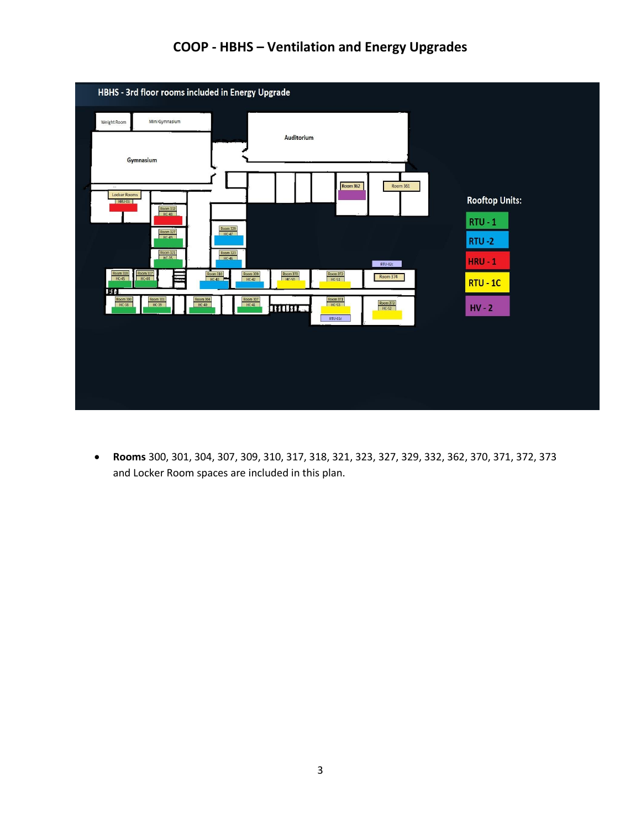

 **Rooms** 300, 301, 304, 307, 309, 310, 317, 318, 321, 323, 327, 329, 332, 362, 370, 371, 372, 373 and Locker Room spaces are included in this plan.